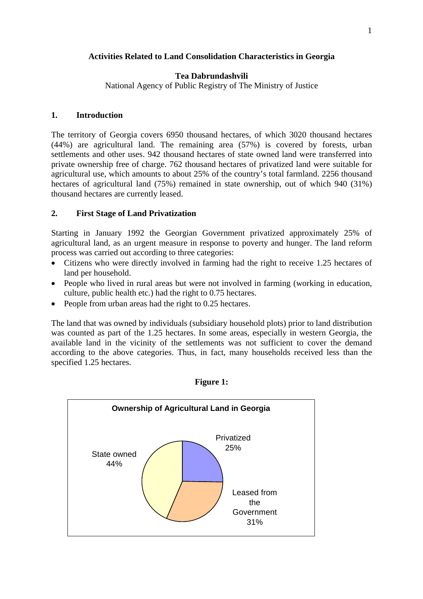# **Activities Related to Land Consolidation Characteristics in Georgia**

### **Tea Dabrundashvili**

National Agency of Public Registry of The Ministry of Justice

#### **1. Introduction**

The territory of Georgia covers 6950 thousand hectares, of which 3020 thousand hectares (44%) are agricultural land. The remaining area (57%) is covered by forests, urban settlements and other uses. 942 thousand hectares of state owned land were transferred into private ownership free of charge. 762 thousand hectares of privatized land were suitable for agricultural use, which amounts to about 25% of the country's total farmland. 2256 thousand hectares of agricultural land (75%) remained in state ownership, out of which 940 (31%) thousand hectares are currently leased.

## **2. First Stage of Land Privatization**

Starting in January 1992 the Georgian Government privatized approximately 25% of agricultural land, as an urgent measure in response to poverty and hunger. The land reform process was carried out according to three categories:

- Citizens who were directly involved in farming had the right to receive 1.25 hectares of land per household.
- People who lived in rural areas but were not involved in farming (working in education, culture, public health etc.) had the right to 0.75 hectares.
- People from urban areas had the right to 0.25 hectares.

The land that was owned by individuals (subsidiary household plots) prior to land distribution was counted as part of the 1.25 hectares. In some areas, especially in western Georgia, the available land in the vicinity of the settlements was not sufficient to cover the demand according to the above categories. Thus, in fact, many households received less than the specified 1.25 hectares.



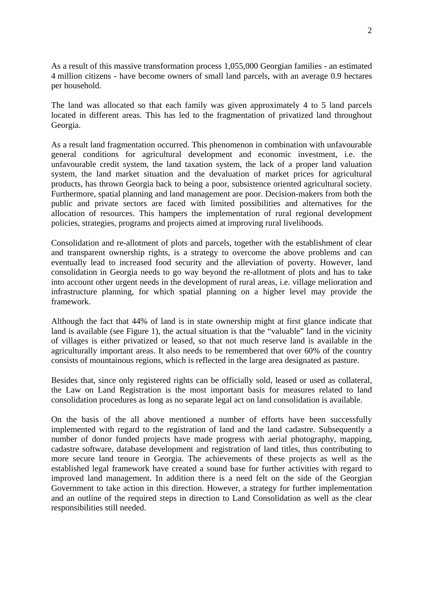As a result of this massive transformation process 1,055,000 Georgian families - an estimated 4 million citizens - have become owners of small land parcels, with an average 0.9 hectares per household.

The land was allocated so that each family was given approximately 4 to 5 land parcels located in different areas. This has led to the fragmentation of privatized land throughout Georgia.

As a result land fragmentation occurred. This phenomenon in combination with unfavourable general conditions for agricultural development and economic investment, i.e. the unfavourable credit system, the land taxation system, the lack of a proper land valuation system, the land market situation and the devaluation of market prices for agricultural products, has thrown Georgia back to being a poor, subsistence oriented agricultural society. Furthermore, spatial planning and land management are poor. Decision-makers from both the public and private sectors are faced with limited possibilities and alternatives for the allocation of resources. This hampers the implementation of rural regional development policies, strategies, programs and projects aimed at improving rural livelihoods.

Consolidation and re-allotment of plots and parcels, together with the establishment of clear and transparent ownership rights, is a strategy to overcome the above problems and can eventually lead to increased food security and the alleviation of poverty. However, land consolidation in Georgia needs to go way beyond the re-allotment of plots and has to take into account other urgent needs in the development of rural areas, i.e. village melioration and infrastructure planning, for which spatial planning on a higher level may provide the framework.

Although the fact that 44% of land is in state ownership might at first glance indicate that land is available (see Figure 1), the actual situation is that the "valuable" land in the vicinity of villages is either privatized or leased, so that not much reserve land is available in the agriculturally important areas. It also needs to be remembered that over 60% of the country consists of mountainous regions, which is reflected in the large area designated as pasture.

Besides that, since only registered rights can be officially sold, leased or used as collateral, the Law on Land Registration is the most important basis for measures related to land consolidation procedures as long as no separate legal act on land consolidation is available.

On the basis of the all above mentioned a number of efforts have been successfully implemented with regard to the registration of land and the land cadastre. Subsequently a number of donor funded projects have made progress with aerial photography, mapping, cadastre software, database development and registration of land titles, thus contributing to more secure land tenure in Georgia. The achievements of these projects as well as the established legal framework have created a sound base for further activities with regard to improved land management. In addition there is a need felt on the side of the Georgian Government to take action in this direction. However, a strategy for further implementation and an outline of the required steps in direction to Land Consolidation as well as the clear responsibilities still needed.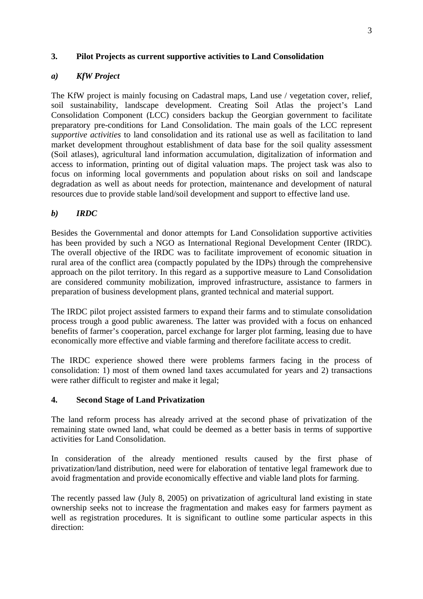# **3. Pilot Projects as current supportive activities to Land Consolidation**

# *a) KfW Project*

The KfW project is mainly focusing on Cadastral maps, Land use / vegetation cover, relief, soil sustainability, landscape development. Creating Soil Atlas the project's Land Consolidation Component (LCC) considers backup the Georgian government to facilitate preparatory pre-conditions for Land Consolidation. The main goals of the LCC represent *supportive activities* to land consolidation and its rational use as well as facilitation to land market development throughout establishment of data base for the soil quality assessment (Soil atlases), agricultural land information accumulation, digitalization of information and access to information, printing out of digital valuation maps. The project task was also to focus on informing local governments and population about risks on soil and landscape degradation as well as about needs for protection, maintenance and development of natural resources due to provide stable land/soil development and support to effective land use.

## *b) IRDC*

Besides the Governmental and donor attempts for Land Consolidation supportive activities has been provided by such a NGO as International Regional Development Center (IRDC). The overall objective of the IRDC was to facilitate improvement of economic situation in rural area of the conflict area (compactly populated by the IDPs) through the comprehensive approach on the pilot territory. In this regard as a supportive measure to Land Consolidation are considered community mobilization, improved infrastructure, assistance to farmers in preparation of business development plans, granted technical and material support.

The IRDC pilot project assisted farmers to expand their farms and to stimulate consolidation process trough a good public awareness. The latter was provided with a focus on enhanced benefits of farmer's cooperation, parcel exchange for larger plot farming, leasing due to have economically more effective and viable farming and therefore facilitate access to credit.

The IRDC experience showed there were problems farmers facing in the process of consolidation: 1) most of them owned land taxes accumulated for years and 2) transactions were rather difficult to register and make it legal;

#### **4. Second Stage of Land Privatization**

The land reform process has already arrived at the second phase of privatization of the remaining state owned land, what could be deemed as a better basis in terms of supportive activities for Land Consolidation.

In consideration of the already mentioned results caused by the first phase of privatization/land distribution, need were for elaboration of tentative legal framework due to avoid fragmentation and provide economically effective and viable land plots for farming.

The recently passed law (July 8, 2005) on privatization of agricultural land existing in state ownership seeks not to increase the fragmentation and makes easy for farmers payment as well as registration procedures. It is significant to outline some particular aspects in this direction: